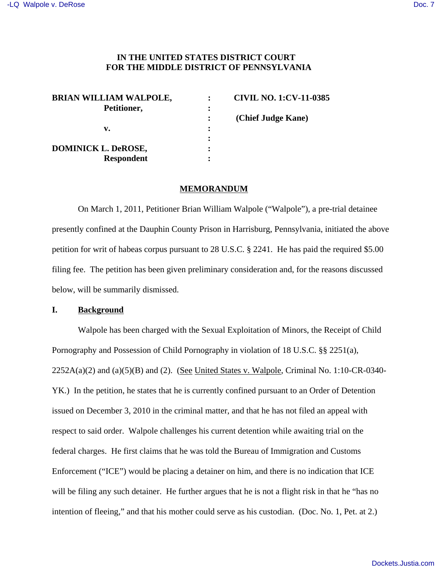### **IN THE UNITED STATES DISTRICT COURT FOR THE MIDDLE DISTRICT OF PENNSYLVANIA**

| <b>BRIAN WILLIAM WALPOLE,</b> |         | <b>CIVIL NO. 1:CV-11-0385</b> |
|-------------------------------|---------|-------------------------------|
| Petitioner,                   |         |                               |
|                               |         | (Chief Judge Kane)            |
| v.                            | $\cdot$ |                               |
|                               | ٠       |                               |
| <b>DOMINICK L. DeROSE,</b>    | ٠       |                               |
| <b>Respondent</b>             | ٠       |                               |

#### **MEMORANDUM**

On March 1, 2011, Petitioner Brian William Walpole ("Walpole"), a pre-trial detainee presently confined at the Dauphin County Prison in Harrisburg, Pennsylvania, initiated the above petition for writ of habeas corpus pursuant to 28 U.S.C. § 2241. He has paid the required \$5.00 filing fee. The petition has been given preliminary consideration and, for the reasons discussed below, will be summarily dismissed.

### **I. Background**

Walpole has been charged with the Sexual Exploitation of Minors, the Receipt of Child Pornography and Possession of Child Pornography in violation of 18 U.S.C. §§ 2251(a),  $2252A(a)(2)$  and  $(a)(5)(B)$  and  $(2)$ . (See United States v. Walpole, Criminal No. 1:10-CR-0340-YK.) In the petition, he states that he is currently confined pursuant to an Order of Detention issued on December 3, 2010 in the criminal matter, and that he has not filed an appeal with respect to said order. Walpole challenges his current detention while awaiting trial on the federal charges. He first claims that he was told the Bureau of Immigration and Customs Enforcement ("ICE") would be placing a detainer on him, and there is no indication that ICE will be filing any such detainer. He further argues that he is not a flight risk in that he "has no intention of fleeing," and that his mother could serve as his custodian. (Doc. No. 1, Pet. at 2.)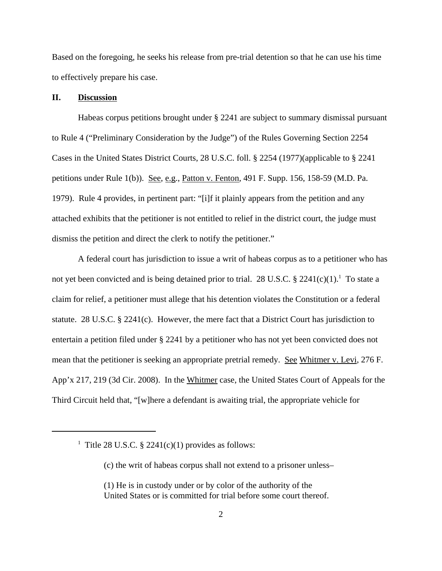Based on the foregoing, he seeks his release from pre-trial detention so that he can use his time to effectively prepare his case.

#### **II. Discussion**

Habeas corpus petitions brought under § 2241 are subject to summary dismissal pursuant to Rule 4 ("Preliminary Consideration by the Judge") of the Rules Governing Section 2254 Cases in the United States District Courts, 28 U.S.C. foll. § 2254 (1977)(applicable to § 2241 petitions under Rule 1(b)). See, e.g., Patton v. Fenton, 491 F. Supp. 156, 158-59 (M.D. Pa. 1979). Rule 4 provides, in pertinent part: "[i]f it plainly appears from the petition and any attached exhibits that the petitioner is not entitled to relief in the district court, the judge must dismiss the petition and direct the clerk to notify the petitioner."

A federal court has jurisdiction to issue a writ of habeas corpus as to a petitioner who has not yet been convicted and is being detained prior to trial. 28 U.S.C.  $\S 2241(c)(1)$ .<sup>1</sup> To state a claim for relief, a petitioner must allege that his detention violates the Constitution or a federal statute. 28 U.S.C.  $\S$  2241(c). However, the mere fact that a District Court has jurisdiction to entertain a petition filed under § 2241 by a petitioner who has not yet been convicted does not mean that the petitioner is seeking an appropriate pretrial remedy. See Whitmer v. Levi, 276 F. App'x 217, 219 (3d Cir. 2008). In the Whitmer case, the United States Court of Appeals for the Third Circuit held that, "[w]here a defendant is awaiting trial, the appropriate vehicle for

<sup>&</sup>lt;sup>1</sup> Title 28 U.S.C. § 2241(c)(1) provides as follows:

<sup>(</sup>c) the writ of habeas corpus shall not extend to a prisoner unless–

<sup>(1)</sup> He is in custody under or by color of the authority of the United States or is committed for trial before some court thereof.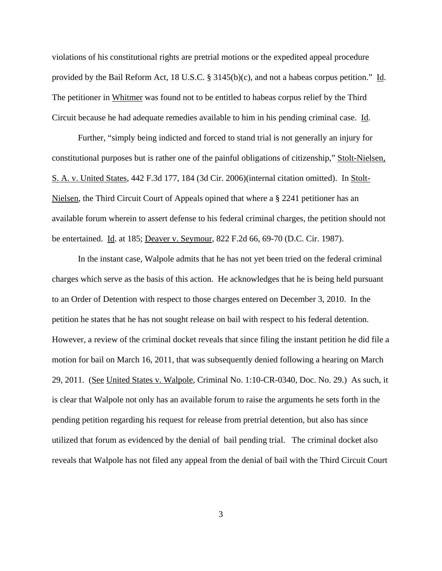violations of his constitutional rights are pretrial motions or the expedited appeal procedure provided by the Bail Reform Act, 18 U.S.C. § 3145(b)(c), and not a habeas corpus petition." Id. The petitioner in Whitmer was found not to be entitled to habeas corpus relief by the Third Circuit because he had adequate remedies available to him in his pending criminal case. Id.

Further, "simply being indicted and forced to stand trial is not generally an injury for constitutional purposes but is rather one of the painful obligations of citizenship," Stolt-Nielsen, S. A. v. United States, 442 F.3d 177, 184 (3d Cir. 2006)(internal citation omitted). In Stolt-Nielsen, the Third Circuit Court of Appeals opined that where a § 2241 petitioner has an available forum wherein to assert defense to his federal criminal charges, the petition should not be entertained. Id. at 185; Deaver v. Seymour, 822 F.2d 66, 69-70 (D.C. Cir. 1987).

In the instant case, Walpole admits that he has not yet been tried on the federal criminal charges which serve as the basis of this action. He acknowledges that he is being held pursuant to an Order of Detention with respect to those charges entered on December 3, 2010. In the petition he states that he has not sought release on bail with respect to his federal detention. However, a review of the criminal docket reveals that since filing the instant petition he did file a motion for bail on March 16, 2011, that was subsequently denied following a hearing on March 29, 2011. (See United States v. Walpole, Criminal No. 1:10-CR-0340, Doc. No. 29.) As such, it is clear that Walpole not only has an available forum to raise the arguments he sets forth in the pending petition regarding his request for release from pretrial detention, but also has since utilized that forum as evidenced by the denial of bail pending trial. The criminal docket also reveals that Walpole has not filed any appeal from the denial of bail with the Third Circuit Court

3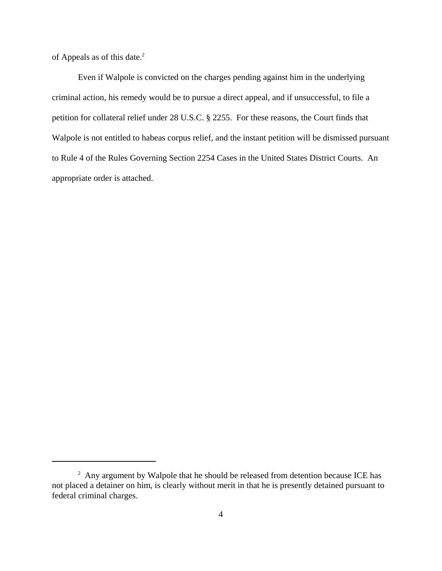of Appeals as of this date.<sup>2</sup>

Even if Walpole is convicted on the charges pending against him in the underlying criminal action, his remedy would be to pursue a direct appeal, and if unsuccessful, to file a petition for collateral relief under 28 U.S.C. § 2255. For these reasons, the Court finds that Walpole is not entitled to habeas corpus relief, and the instant petition will be dismissed pursuant to Rule 4 of the Rules Governing Section 2254 Cases in the United States District Courts. An appropriate order is attached.

 $2$  Any argument by Walpole that he should be released from detention because ICE has not placed a detainer on him, is clearly without merit in that he is presently detained pursuant to federal criminal charges.